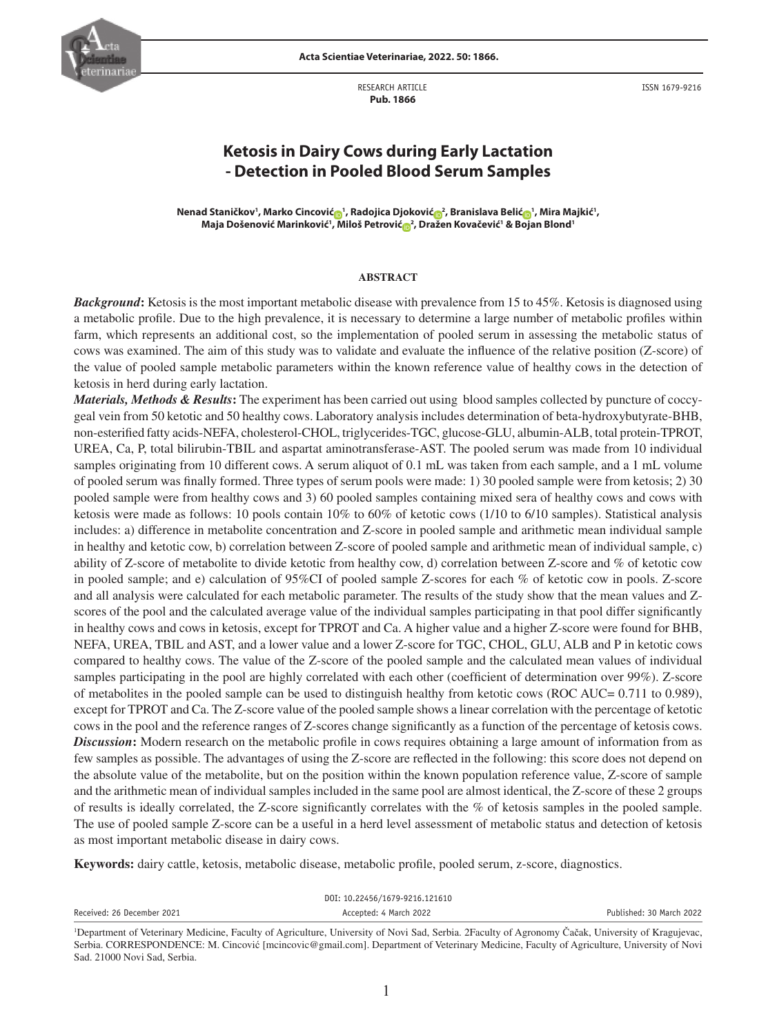

**Acta Scientiae Veterinariae, 2022. 50: 1866.**

RESEARCH ARTICLE  **Pub. 1866**

ISSN 1679-9216

# **Ketosis in Dairy Cows during Early Lactation - Detection in Pooled Blood Serum Samples**

 $N$ enad Staničkov', Marko Cincović $_{\text{m}}$ ', Radojica Djoković $_{\text{m}}$ ', Branislava Belić $_{\text{m}}$ ', Mira Majkić', **Maja Došenović Marinković1 , Miloš Petrović <sup>2</sup> , Dražen Kovačević1 & Bojan Blond1**

#### **ABSTRACT**

*Background*: Ketosis is the most important metabolic disease with prevalence from 15 to 45%. Ketosis is diagnosed using a metabolic profile. Due to the high prevalence, it is necessary to determine a large number of metabolic profiles within farm, which represents an additional cost, so the implementation of pooled serum in assessing the metabolic status of cows was examined. The aim of this study was to validate and evaluate the influence of the relative position (Z-score) of the value of pooled sample metabolic parameters within the known reference value of healthy cows in the detection of ketosis in herd during early lactation.

*Materials, Methods & Results***:** The experiment has been carried out using blood samples collected by puncture of coccygeal vein from 50 ketotic and 50 healthy cows. Laboratory analysis includes determination of beta-hydroxybutyrate-BHB, non-esterified fatty acids-NEFA, cholesterol-CHOL, triglycerides-TGC, glucose-GLU, albumin-ALB, total protein-TPROT, UREA, Ca, P, total bilirubin-TBIL and aspartat aminotransferase-AST. The pooled serum was made from 10 individual samples originating from 10 different cows. A serum aliquot of 0.1 mL was taken from each sample, and a 1 mL volume of pooled serum was finally formed. Three types of serum pools were made: 1) 30 pooled sample were from ketosis; 2) 30 pooled sample were from healthy cows and 3) 60 pooled samples containing mixed sera of healthy cows and cows with ketosis were made as follows: 10 pools contain 10% to 60% of ketotic cows (1/10 to 6/10 samples). Statistical analysis includes: a) difference in metabolite concentration and Z-score in pooled sample and arithmetic mean individual sample in healthy and ketotic cow, b) correlation between Z-score of pooled sample and arithmetic mean of individual sample, c) ability of Z-score of metabolite to divide ketotic from healthy cow, d) correlation between Z-score and % of ketotic cow in pooled sample; and e) calculation of 95%CI of pooled sample Z-scores for each % of ketotic cow in pools. Z-score and all analysis were calculated for each metabolic parameter. The results of the study show that the mean values and Zscores of the pool and the calculated average value of the individual samples participating in that pool differ significantly in healthy cows and cows in ketosis, except for TPROT and Ca. A higher value and a higher Z-score were found for BHB, NEFA, UREA, TBIL and AST, and a lower value and a lower Z-score for TGC, CHOL, GLU, ALB and P in ketotic cows compared to healthy cows. The value of the Z-score of the pooled sample and the calculated mean values of individual samples participating in the pool are highly correlated with each other (coefficient of determination over 99%). Z-score of metabolites in the pooled sample can be used to distinguish healthy from ketotic cows (ROC AUC= 0.711 to 0.989), except for TPROT and Ca. The Z-score value of the pooled sample shows a linear correlation with the percentage of ketotic cows in the pool and the reference ranges of Z-scores change significantly as a function of the percentage of ketosis cows. *Discussion***:** Modern research on the metabolic profile in cows requires obtaining a large amount of information from as few samples as possible. The advantages of using the Z-score are reflected in the following: this score does not depend on the absolute value of the metabolite, but on the position within the known population reference value, Z-score of sample and the arithmetic mean of individual samples included in the same pool are almost identical, the Z-score of these 2 groups of results is ideally correlated, the Z-score significantly correlates with the % of ketosis samples in the pooled sample. The use of pooled sample Z-score can be a useful in a herd level assessment of metabolic status and detection of ketosis as most important metabolic disease in dairy cows.

**Keywords:** dairy cattle, ketosis, metabolic disease, metabolic profile, pooled serum, z-score, diagnostics.

|                            | DOI: 10.22456/1679-9216.121610                                                                                    |                                                                                                               |
|----------------------------|-------------------------------------------------------------------------------------------------------------------|---------------------------------------------------------------------------------------------------------------|
| Received: 26 December 2021 | Accepted: 4 March 2022                                                                                            | Published: 30 March 2022                                                                                      |
|                            | المعارف المستقيم والمتعاون والمتحدث والمتحدث والمتحدث والمنافذة والمستحدث والمستقرن والمستقرن والمستقرن والمستقرن | المال الموالي المناقب المستقبل المتأثرة المتناقصة المتناقصة المتناقصة المتناقضة المتناقضة المتناقضة المتناقضة |

<sup>1</sup> Department of Veterinary Medicine, Faculty of Agriculture, University of Novi Sad, Serbia. 2Faculty of Agronomy Čačak, University of Kragujevac, Serbia. CORRESPONDENCE: M. Cincović [mcincovic@gmail.com]. Department of Veterinary Medicine, Faculty of Agriculture, University of Novi Sad. 21000 Novi Sad, Serbia.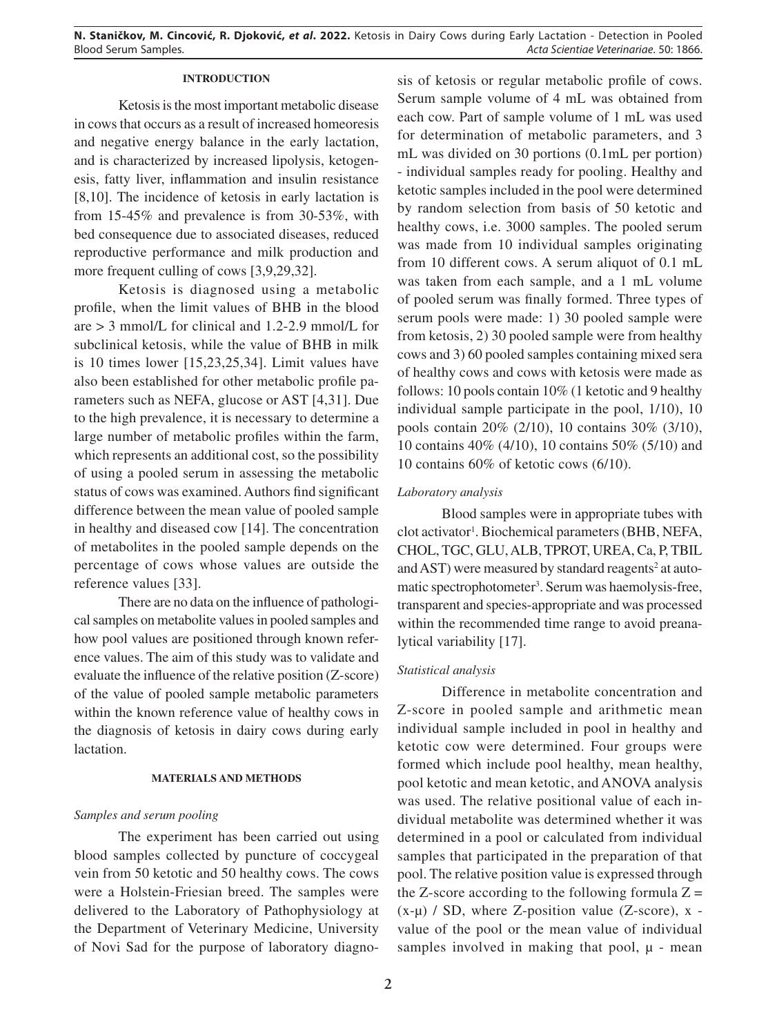**N. Staničkov, M. Cincović, R. Djoković,** *et al***. 2022.** Ketosis in Dairy Cows during Early Lactation - Detection in Pooled Blood Serum Samples. *Acta Scientiae Veterinariae*. 50: 1866.

## **INTRODUCTION**

Ketosis is the most important metabolic disease in cows that occurs as a result of increased homeoresis and negative energy balance in the early lactation, and is characterized by increased lipolysis, ketogenesis, fatty liver, inflammation and insulin resistance [8,10]. The incidence of ketosis in early lactation is from 15-45% and prevalence is from 30-53%, with bed consequence due to associated diseases, reduced reproductive performance and milk production and more frequent culling of cows [3,9,29,32].

Ketosis is diagnosed using a metabolic profile, when the limit values of BHB in the blood are > 3 mmol/L for clinical and 1.2-2.9 mmol/L for subclinical ketosis, while the value of BHB in milk is 10 times lower [15,23,25,34]. Limit values have also been established for other metabolic profile parameters such as NEFA, glucose or AST [4,31]. Due to the high prevalence, it is necessary to determine a large number of metabolic profiles within the farm, which represents an additional cost, so the possibility of using a pooled serum in assessing the metabolic status of cows was examined. Authors find significant difference between the mean value of pooled sample in healthy and diseased cow [14]. The concentration of metabolites in the pooled sample depends on the percentage of cows whose values are outside the reference values [33].

There are no data on the influence of pathological samples on metabolite values in pooled samples and how pool values are positioned through known reference values. The aim of this study was to validate and evaluate the influence of the relative position (Z-score) of the value of pooled sample metabolic parameters within the known reference value of healthy cows in the diagnosis of ketosis in dairy cows during early lactation.

# **MATERIALS AND METHODS**

# *Samples and serum pooling*

The experiment has been carried out using blood samples collected by puncture of coccygeal vein from 50 ketotic and 50 healthy cows. The cows were a Holstein-Friesian breed. The samples were delivered to the Laboratory of Pathophysiology at the Department of Veterinary Medicine, University of Novi Sad for the purpose of laboratory diagnosis of ketosis or regular metabolic profile of cows. Serum sample volume of 4 mL was obtained from each cow. Part of sample volume of 1 mL was used for determination of metabolic parameters, and 3 mL was divided on 30 portions (0.1mL per portion) - individual samples ready for pooling. Healthy and ketotic samples included in the pool were determined by random selection from basis of 50 ketotic and healthy cows, i.e. 3000 samples. The pooled serum was made from 10 individual samples originating from 10 different cows. A serum aliquot of 0.1 mL was taken from each sample, and a 1 mL volume of pooled serum was finally formed. Three types of serum pools were made: 1) 30 pooled sample were from ketosis, 2) 30 pooled sample were from healthy cows and 3) 60 pooled samples containing mixed sera of healthy cows and cows with ketosis were made as follows: 10 pools contain 10% (1 ketotic and 9 healthy individual sample participate in the pool, 1/10), 10 pools contain 20% (2/10), 10 contains 30% (3/10), 10 contains 40% (4/10), 10 contains 50% (5/10) and 10 contains 60% of ketotic cows (6/10).

# *Laboratory analysis*

Blood samples were in appropriate tubes with clot activator<sup>1</sup>. Biochemical parameters (BHB, NEFA, CHOL, TGC, GLU, ALB, TPROT, UREA, Ca, P, TBIL and AST) were measured by standard reagents<sup>2</sup> at automatic spectrophotometer<sup>3</sup>. Serum was haemolysis-free, transparent and species-appropriate and was processed within the recommended time range to avoid preanalytical variability [17].

# *Statistical analysis*

Difference in metabolite concentration and Z-score in pooled sample and arithmetic mean individual sample included in pool in healthy and ketotic cow were determined. Four groups were formed which include pool healthy, mean healthy, pool ketotic and mean ketotic, and ANOVA analysis was used. The relative positional value of each individual metabolite was determined whether it was determined in a pool or calculated from individual samples that participated in the preparation of that pool. The relative position value is expressed through the Z-score according to the following formula  $Z =$  $(x-\mu)$  / SD, where Z-position value (Z-score), x value of the pool or the mean value of individual samples involved in making that pool,  $\mu$  - mean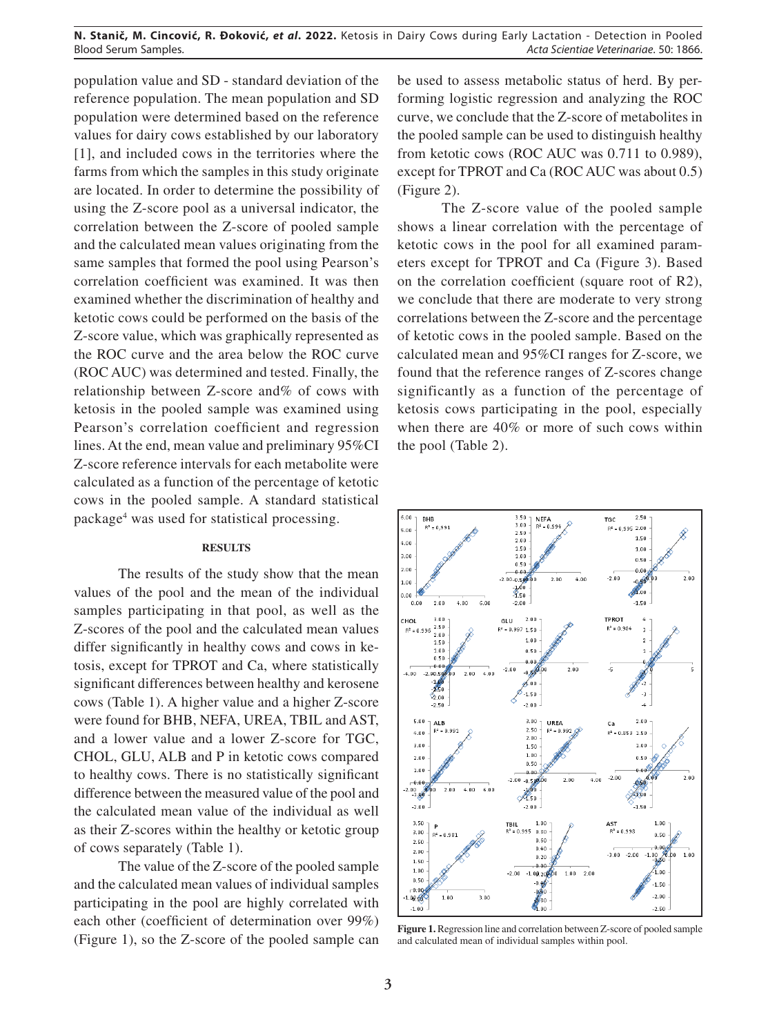**N. Stanič, M. Cincović, R. Ðoković,** *et al***. 2022.** Ketosis in Dairy Cows during Early Lactation - Detection in Pooled Acta Scientiae Veterinariae. 50: 1866.

population value and SD - standard deviation of the reference population. The mean population and SD population were determined based on the reference values for dairy cows established by our laboratory [1], and included cows in the territories where the farms from which the samples in this study originate are located. In order to determine the possibility of using the Z-score pool as a universal indicator, the correlation between the Z-score of pooled sample and the calculated mean values originating from the same samples that formed the pool using Pearson's correlation coefficient was examined. It was then examined whether the discrimination of healthy and ketotic cows could be performed on the basis of the Z-score value, which was graphically represented as the ROC curve and the area below the ROC curve (ROC AUC) was determined and tested. Finally, the relationship between Z-score and% of cows with ketosis in the pooled sample was examined using Pearson's correlation coefficient and regression lines. At the end, mean value and preliminary 95%CI Z-score reference intervals for each metabolite were calculated as a function of the percentage of ketotic cows in the pooled sample. A standard statistical package4 was used for statistical processing.

# **RESULTS**

The results of the study show that the mean values of the pool and the mean of the individual samples participating in that pool, as well as the Z-scores of the pool and the calculated mean values differ significantly in healthy cows and cows in ketosis, except for TPROT and Ca, where statistically significant differences between healthy and kerosene cows (Table 1). A higher value and a higher Z-score were found for BHB, NEFA, UREA, TBIL and AST, and a lower value and a lower Z-score for TGC, CHOL, GLU, ALB and P in ketotic cows compared to healthy cows. There is no statistically significant difference between the measured value of the pool and the calculated mean value of the individual as well as their Z-scores within the healthy or ketotic group of cows separately (Table 1).

The value of the Z-score of the pooled sample and the calculated mean values of individual samples participating in the pool are highly correlated with each other (coefficient of determination over 99%) (Figure 1), so the Z-score of the pooled sample can be used to assess metabolic status of herd. By performing logistic regression and analyzing the ROC curve, we conclude that the Z-score of metabolites in the pooled sample can be used to distinguish healthy from ketotic cows (ROC AUC was 0.711 to 0.989), except for TPROT and Ca (ROC AUC was about 0.5) (Figure 2).

The Z-score value of the pooled sample shows a linear correlation with the percentage of ketotic cows in the pool for all examined parameters except for TPROT and Ca (Figure 3). Based on the correlation coefficient (square root of R2), we conclude that there are moderate to very strong correlations between the Z-score and the percentage of ketotic cows in the pooled sample. Based on the calculated mean and 95%CI ranges for Z-score, we found that the reference ranges of Z-scores change significantly as a function of the percentage of ketosis cows participating in the pool, especially when there are 40% or more of such cows within the pool (Table 2).



**Figure 1.** Regression line and correlation between Z-score of pooled sample and calculated mean of individual samples within pool.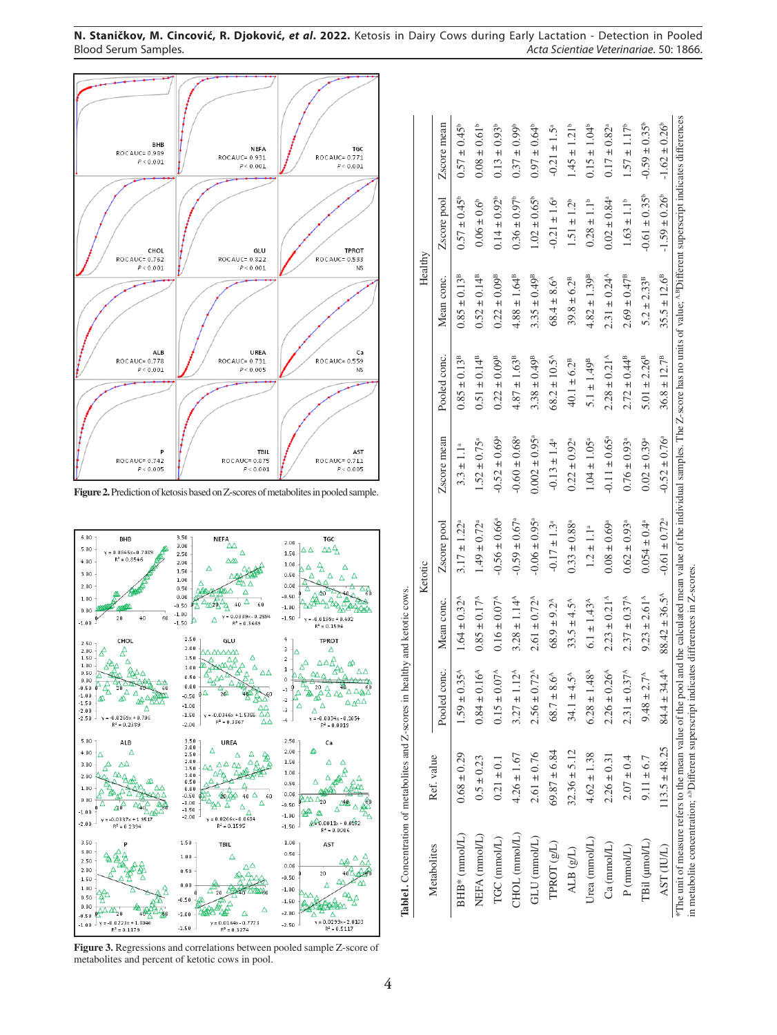

**Figure 2.** Prediction of ketosis based on Z-scores of metabolites in pooled sample.



**Figure 3.** Regressions and correlations between pooled sample Z-score of metabolites and percent of ketotic cows in pool.

| $1.59 \pm 0.35^{\text{A}}$<br>$0.15 \pm 0.07^{A}$<br>Pooled conc.<br>$0.84 \pm 0.16^{A}$<br>$2.56 \pm 0.72^{\text{A}}$<br>$6.28 \pm 1.48^{\circ}$<br>$3.27 \pm 1.12^{A}$<br>$68.7 \pm 8.6^{\circ}$<br>$34.1 \pm 4.5^{\circ}$<br>$69.87 \pm 6.84$<br>$32.36 \pm 5.12$<br>$2.61 \pm 0.76$<br>$4.62 \pm 1.38$<br>$0.68 \pm 0.29$<br>$4.26 \pm 1.67$<br>Ref. value<br>$0.21 \pm 0.1$<br>$0.5 \pm 0.23$<br>CHOL (mmol/L)<br>NEFA (mmol/L)<br>$BHB*$ (mmol/L)<br>TGC (mmol/L)<br>GLU (mmol/L)<br>Urea (mmol/L)<br>TPROT (g/L)<br>Metabolites<br>ALB $(g/L)$ | $0.85 \pm 0.17^{\rm A}$<br>$0.16 \pm 0.07^{\rm A}$<br>$3.28 \pm 1.14^{\text{A}}$<br>$1.64 \pm 0.32^{\circ}$<br>Mean conc. | $-0.56 \pm 0.66$ <sup>a</sup><br>$1.49 \pm 0.72$ <sup>a</sup><br>$3.17 \pm 1.22^{\circ}$<br>Zscore pool | Zscore mean                   |                            |                              |                               |                               |
|-------------------------------------------------------------------------------------------------------------------------------------------------------------------------------------------------------------------------------------------------------------------------------------------------------------------------------------------------------------------------------------------------------------------------------------------------------------------------------------------------------------------------------------------------------|---------------------------------------------------------------------------------------------------------------------------|---------------------------------------------------------------------------------------------------------|-------------------------------|----------------------------|------------------------------|-------------------------------|-------------------------------|
|                                                                                                                                                                                                                                                                                                                                                                                                                                                                                                                                                       |                                                                                                                           |                                                                                                         |                               | Pooled conc.               | Mean conc.                   | Zscore pool                   | Zscore mean                   |
|                                                                                                                                                                                                                                                                                                                                                                                                                                                                                                                                                       |                                                                                                                           |                                                                                                         | $3.3 \pm 1.1^a$               | $0.85 \pm 0.13^{B}$        | $0.85 \pm 0.13^{B}$          | $0.57 \pm 0.45^{\circ}$       | $0.57 \pm 0.45^{\circ}$       |
|                                                                                                                                                                                                                                                                                                                                                                                                                                                                                                                                                       |                                                                                                                           |                                                                                                         | $1.52 \pm 0.75^{\circ}$       | $0.51 \pm 0.14^{B}$        | $0.52 \pm 0.14^{B}$          | $0.06 \pm 0.6$ <sup>b</sup>   | $0.08 \pm 0.61^b$             |
|                                                                                                                                                                                                                                                                                                                                                                                                                                                                                                                                                       |                                                                                                                           |                                                                                                         | $-0.52 \pm 0.69^{\circ}$      | $0.22 \pm 0.09^{\text{B}}$ | $0.22 \pm 0.09^{\text{B}}$   | $0.14 \pm 0.92^b$             | $0.13 \pm 0.93^b$             |
|                                                                                                                                                                                                                                                                                                                                                                                                                                                                                                                                                       |                                                                                                                           | $-0.59 \pm 0.67$ <sup>a</sup>                                                                           | $-0.60 \pm 0.68$              | $4.87 \pm 1.63^{\text{B}}$ | $4.88 \pm 1.64^{B}$          | $0.36 \pm 0.97^{\circ}$       | $0.37 \pm 0.99$ <sup>b</sup>  |
|                                                                                                                                                                                                                                                                                                                                                                                                                                                                                                                                                       | $2.61 \pm 0.72^{\text{A}}$                                                                                                | $-0.06 \pm 0.95$ <sup>a</sup>                                                                           | $0.002 \pm 0.95$ <sup>3</sup> | $3.38 \pm 0.49^{\text{B}}$ | $3.35 \pm 0.49^{\text{B}}$   | $1.02 \pm 0.65^{\circ}$       | $0.97 \pm 0.64$ <sup>b</sup>  |
|                                                                                                                                                                                                                                                                                                                                                                                                                                                                                                                                                       | $68.9 \pm 9.2^{\circ}$                                                                                                    | $-0.17 \pm 1.3^{\circ}$                                                                                 | $-0.13 \pm 1.4^{\circ}$       | $68.2 \pm 10.5^{\circ}$    | $68.4 \pm 8.6^{\circ}$       | $-0.21 \pm 1.6^{\circ}$       | $-0.21 \pm 1.5^{\circ}$       |
|                                                                                                                                                                                                                                                                                                                                                                                                                                                                                                                                                       | $33.5 \pm 4.5^{\circ}$                                                                                                    | $0.33 \pm 0.88^{\circ}$                                                                                 | $0.22 \pm 0.92$ <sup>a</sup>  | $40.1 \pm 6.2^{\text{B}}$  | $39.8 \pm 6.2^{B}$           | $1.51 \pm 1.2^b$              | $1.45 \pm 1.21^b$             |
|                                                                                                                                                                                                                                                                                                                                                                                                                                                                                                                                                       | $6.1 \pm 1.43^{\circ}$                                                                                                    | $1.2 \pm 1.1^a$                                                                                         | $1.04 \pm 1.05$ <sup>a</sup>  | $5.1 \pm 1.49^{\text{B}}$  | $4.82 \pm 1.39^{\text{B}}$   | $0.28 \pm 1.1^{\circ}$        | $0.15 \pm 1.04^{\circ}$       |
| $2.26 \pm 0.26^{\circ}$<br>$2.26 \pm 0.31$<br>Ca (mmol/L)                                                                                                                                                                                                                                                                                                                                                                                                                                                                                             | $2.23 \pm 0.21^{\circ}$                                                                                                   | $0.08 \pm 0.69$                                                                                         | $-0.11 \pm 0.65$ <sup>a</sup> | $2.28 \pm 0.21^{\circ}$    | $2.31 \pm 0.24$ <sup>A</sup> | $0.02 \pm 0.84$ <sup>a</sup>  | $0.17 \pm 0.82^{\circ}$       |
| $2.31 \pm 0$<br>$2.07 \pm 0.4$<br>$P$ (mmol/L)                                                                                                                                                                                                                                                                                                                                                                                                                                                                                                        | $2.37 \pm 0.37^{\text{A}}$<br>$37^{\text{A}}$                                                                             | $0.62 \pm 0.93$ <sup>a</sup>                                                                            | $0.76 \pm 0.93$ <sup>a</sup>  | $2.72 \pm 0.44^{\text{B}}$ | $2.69 \pm 0.47^{\text{B}}$   | $1.63 \pm 1.1^b$              | $1.57\pm1.17^{\rm b}$         |
| $9.48 \pm 2.7^{\circ}$<br>$9.11 \pm 6.7$<br>TBil (µmol/L)                                                                                                                                                                                                                                                                                                                                                                                                                                                                                             | $9.23 \pm 2.61^{\circ}$                                                                                                   | $0.054 \pm 0.4$ <sup>4</sup>                                                                            | $0.02 \pm 0.39^{\circ}$       | $5.01 \pm 2.26^{\text{B}}$ | $5.2 \pm 2.33^{\text{B}}$    | $-0.61 \pm 0.35^{\circ}$      | $-0.59 \pm 0.35^{\circ}$      |
| $84.4 \pm 34.4^{\circ}$<br>$113.5 \pm 48.25$<br>AST <sub>(IUL)</sub>                                                                                                                                                                                                                                                                                                                                                                                                                                                                                  | $88.42 \pm 36.5^{\circ}$                                                                                                  | $-0.61 \pm 0.72$ <sup>a</sup>                                                                           | $-0.52 \pm 0.76^{\circ}$      | $36.8 \pm 12.7^{\text{B}}$ | $35.5 \pm 12.6^8$            | $-1.59 \pm 0.26$ <sup>b</sup> | $-1.62 \pm 0.26$ <sup>b</sup> |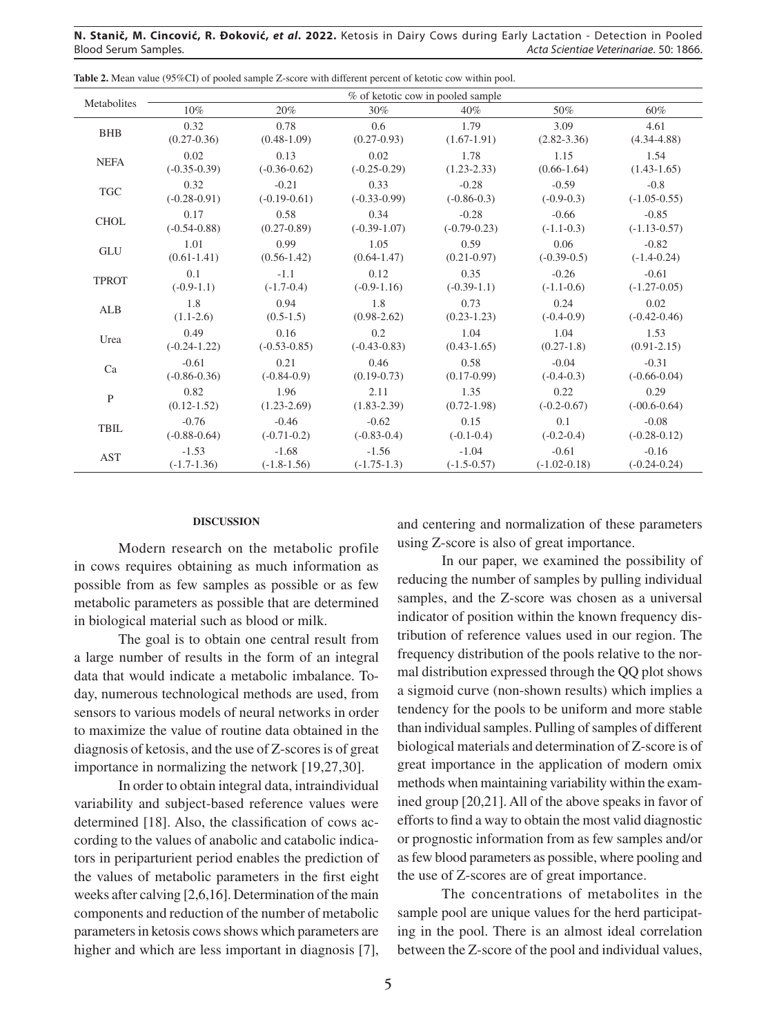**N. Stanič, M. Cincović, R. Ðoković,** *et al***. 2022.** Ketosis in Dairy Cows during Early Lactation - Detection in Pooled Blood Serum Samples. *Acta Scientiae Veterinariae*. 50: 1866.

| Metabolites          |                  |                  |                  | % of ketotic cow in pooled sample |                  |                  |
|----------------------|------------------|------------------|------------------|-----------------------------------|------------------|------------------|
|                      | 10%              | 20%              | 30%              | 40%                               | 50%              | 60%              |
| <b>BHB</b>           | 0.32             | 0.78             | 0.6              | 1.79                              | 3.09             | 4.61             |
|                      | $(0.27 - 0.36)$  | $(0.48 - 1.09)$  | $(0.27 - 0.93)$  | $(1.67-1.91)$                     | $(2.82 - 3.36)$  | $(4.34 - 4.88)$  |
| <b>NEFA</b>          | 0.02             | 0.13             | 0.02             | 1.78                              | 1.15             | 1.54             |
|                      | $(-0.35-0.39)$   | $(-0.36 - 0.62)$ | $(-0.25-0.29)$   | $(1.23 - 2.33)$                   | $(0.66 - 1.64)$  | $(1.43 - 1.65)$  |
| $\operatorname{TGC}$ | 0.32             | $-0.21$          | 0.33             | $-0.28$                           | $-0.59$          | $-0.8$           |
|                      | $(-0.28 - 0.91)$ | $(-0.19-0.61)$   | $(-0.33 - 0.99)$ | $(-0.86-0.3)$                     | $(-0.9-0.3)$     | $(-1.05-0.55)$   |
| <b>CHOL</b>          | 0.17             | 0.58             | 0.34             | $-0.28$                           | $-0.66$          | $-0.85$          |
|                      | $(-0.54 - 0.88)$ | $(0.27 - 0.89)$  | $(-0.39-1.07)$   | $(-0.79 - 0.23)$                  | $(-1.1-0.3)$     | $(-1.13 - 0.57)$ |
| <b>GLU</b>           | 1.01             | 0.99             | 1.05             | 0.59                              | 0.06             | $-0.82$          |
|                      | $(0.61 - 1.41)$  | $(0.56 - 1.42)$  | $(0.64 - 1.47)$  | $(0.21 - 0.97)$                   | $(-0.39-0.5)$    | $(-1.4-0.24)$    |
| <b>TPROT</b>         | 0.1              | $-1.1$           | 0.12             | 0.35                              | $-0.26$          | $-0.61$          |
|                      | $(-0.9-1.1)$     | $(-1.7-0.4)$     | $(-0.9-1.16)$    | $(-0.39-1.1)$                     | $(-1.1-0.6)$     | $(-1.27-0.05)$   |
| <b>ALB</b>           | 1.8              | 0.94             | 1.8              | 0.73                              | 0.24             | 0.02             |
|                      | $(1.1-2.6)$      | $(0.5-1.5)$      | $(0.98 - 2.62)$  | $(0.23 - 1.23)$                   | $(-0.4-0.9)$     | $(-0.42 - 0.46)$ |
| Urea                 | 0.49             | 0.16             | 0.2              | 1.04                              | 1.04             | 1.53             |
|                      | $(-0.24 - 1.22)$ | $(-0.53 - 0.85)$ | $(-0.43 - 0.83)$ | $(0.43 - 1.65)$                   | $(0.27-1.8)$     | $(0.91 - 2.15)$  |
| Ca                   | $-0.61$          | 0.21             | 0.46             | 0.58                              | $-0.04$          | $-0.31$          |
|                      | $(-0.86 - 0.36)$ | $(-0.84-0.9)$    | $(0.19 - 0.73)$  | $(0.17-0.99)$                     | $(-0.4-0.3)$     | $(-0.66 - 0.04)$ |
| ${\bf P}$            | 0.82             | 1.96             | 2.11             | 1.35                              | 0.22             | 0.29             |
|                      | $(0.12 - 1.52)$  | $(1.23 - 2.69)$  | $(1.83 - 2.39)$  | $(0.72 - 1.98)$                   | $(-0.2 - 0.67)$  | $(-00.6-0.64)$   |
| <b>TBIL</b>          | $-0.76$          | $-0.46$          | $-0.62$          | 0.15                              | 0.1              | $-0.08$          |
|                      | $(-0.88 - 0.64)$ | $(-0.71-0.2)$    | $(-0.83 - 0.4)$  | $(-0.1 - 0.4)$                    | $(-0.2-0.4)$     | $(-0.28 - 0.12)$ |
| <b>AST</b>           | $-1.53$          | $-1.68$          | $-1.56$          | $-1.04$                           | $-0.61$          | $-0.16$          |
|                      | $(-1.7-1.36)$    | $(-1.8-1.56)$    | $(-1.75-1.3)$    | $(-1.5 - 0.57)$                   | $(-1.02 - 0.18)$ | $(-0.24 - 0.24)$ |

**Table 2.** Mean value (95%CI) of pooled sample Z-score with different percent of ketotic cow within pool.

#### **DISCUSSION**

Modern research on the metabolic profile in cows requires obtaining as much information as possible from as few samples as possible or as few metabolic parameters as possible that are determined in biological material such as blood or milk.

The goal is to obtain one central result from a large number of results in the form of an integral data that would indicate a metabolic imbalance. Today, numerous technological methods are used, from sensors to various models of neural networks in order to maximize the value of routine data obtained in the diagnosis of ketosis, and the use of Z-scores is of great importance in normalizing the network [19,27,30].

In order to obtain integral data, intraindividual variability and subject-based reference values were determined [18]. Also, the classification of cows according to the values of anabolic and catabolic indicators in periparturient period enables the prediction of the values of metabolic parameters in the first eight weeks after calving [2,6,16]. Determination of the main components and reduction of the number of metabolic parameters in ketosis cows shows which parameters are higher and which are less important in diagnosis [7], and centering and normalization of these parameters using Z-score is also of great importance.

In our paper, we examined the possibility of reducing the number of samples by pulling individual samples, and the Z-score was chosen as a universal indicator of position within the known frequency distribution of reference values used in our region. The frequency distribution of the pools relative to the normal distribution expressed through the QQ plot shows a sigmoid curve (non-shown results) which implies a tendency for the pools to be uniform and more stable than individual samples. Pulling of samples of different biological materials and determination of Z-score is of great importance in the application of modern omix methods when maintaining variability within the examined group [20,21]. All of the above speaks in favor of efforts to find a way to obtain the most valid diagnostic or prognostic information from as few samples and/or as few blood parameters as possible, where pooling and the use of Z-scores are of great importance.

The concentrations of metabolites in the sample pool are unique values for the herd participating in the pool. There is an almost ideal correlation between the Z-score of the pool and individual values,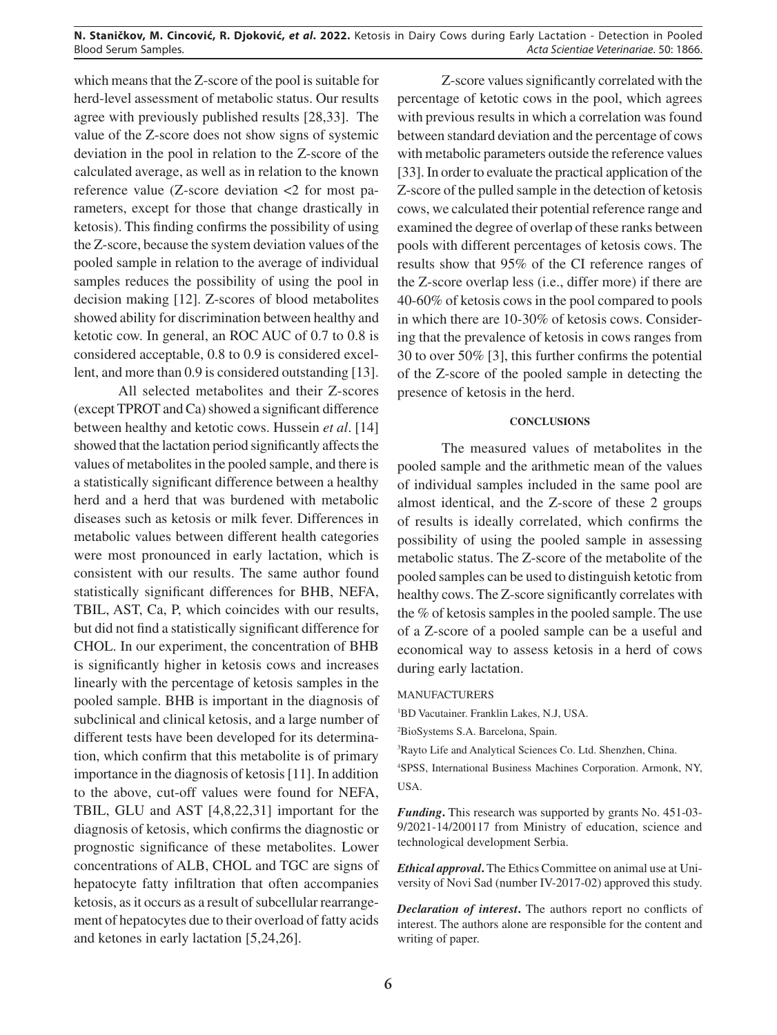which means that the Z-score of the pool is suitable for herd-level assessment of metabolic status. Our results agree with previously published results [28,33]. The value of the Z-score does not show signs of systemic deviation in the pool in relation to the Z-score of the calculated average, as well as in relation to the known reference value (Z-score deviation <2 for most parameters, except for those that change drastically in ketosis). This finding confirms the possibility of using the Z-score, because the system deviation values of the pooled sample in relation to the average of individual samples reduces the possibility of using the pool in decision making [12]. Z-scores of blood metabolites showed ability for discrimination between healthy and ketotic cow. In general, an ROC AUC of 0.7 to 0.8 is considered acceptable, 0.8 to 0.9 is considered excellent, and more than 0.9 is considered outstanding [13].

All selected metabolites and their Z-scores (except TPROT and Ca) showed a significant difference between healthy and ketotic cows. Hussein *et al*. [14] showed that the lactation period significantly affects the values of metabolites in the pooled sample, and there is a statistically significant difference between a healthy herd and a herd that was burdened with metabolic diseases such as ketosis or milk fever. Differences in metabolic values between different health categories were most pronounced in early lactation, which is consistent with our results. The same author found statistically significant differences for BHB, NEFA, TBIL, AST, Ca, P, which coincides with our results, but did not find a statistically significant difference for CHOL. In our experiment, the concentration of BHB is significantly higher in ketosis cows and increases linearly with the percentage of ketosis samples in the pooled sample. BHB is important in the diagnosis of subclinical and clinical ketosis, and a large number of different tests have been developed for its determination, which confirm that this metabolite is of primary importance in the diagnosis of ketosis [11]. In addition to the above, cut-off values were found for NEFA, TBIL, GLU and AST [4,8,22,31] important for the diagnosis of ketosis, which confirms the diagnostic or prognostic significance of these metabolites. Lower concentrations of ALB, CHOL and TGC are signs of hepatocyte fatty infiltration that often accompanies ketosis, as it occurs as a result of subcellular rearrangement of hepatocytes due to their overload of fatty acids and ketones in early lactation [5,24,26].

Z-score values significantly correlated with the percentage of ketotic cows in the pool, which agrees with previous results in which a correlation was found between standard deviation and the percentage of cows with metabolic parameters outside the reference values [33]. In order to evaluate the practical application of the Z-score of the pulled sample in the detection of ketosis cows, we calculated their potential reference range and examined the degree of overlap of these ranks between pools with different percentages of ketosis cows. The results show that 95% of the CI reference ranges of the Z-score overlap less (i.e., differ more) if there are 40-60% of ketosis cows in the pool compared to pools in which there are 10-30% of ketosis cows. Considering that the prevalence of ketosis in cows ranges from 30 to over 50% [3], this further confirms the potential of the Z-score of the pooled sample in detecting the presence of ketosis in the herd.

# **CONCLUSIONS**

The measured values of metabolites in the pooled sample and the arithmetic mean of the values of individual samples included in the same pool are almost identical, and the Z-score of these 2 groups of results is ideally correlated, which confirms the possibility of using the pooled sample in assessing metabolic status. The Z-score of the metabolite of the pooled samples can be used to distinguish ketotic from healthy cows. The Z-score significantly correlates with the % of ketosis samples in the pooled sample. The use of a Z-score of a pooled sample can be a useful and economical way to assess ketosis in a herd of cows during early lactation.

#### MANUFACTURERS

1 BD Vacutainer. Franklin Lakes, N.J, USA.

3 Rayto Life and Analytical Sciences Co. Ltd. Shenzhen, China.

4 SPSS, International Business Machines Corporation. Armonk, NY, USA.

*Funding***.** This research was supported by grants No. 451-03- 9/2021-14/200117 from Ministry of education, science and technological development Serbia.

*Ethical approval***.** The Ethics Committee on animal use at University of Novi Sad (number IV-2017-02) approved this study.

*Declaration of interest***.** The authors report no conflicts of interest. The authors alone are responsible for the content and writing of paper.

<sup>2</sup> BioSystems S.A. Barcelona, Spain.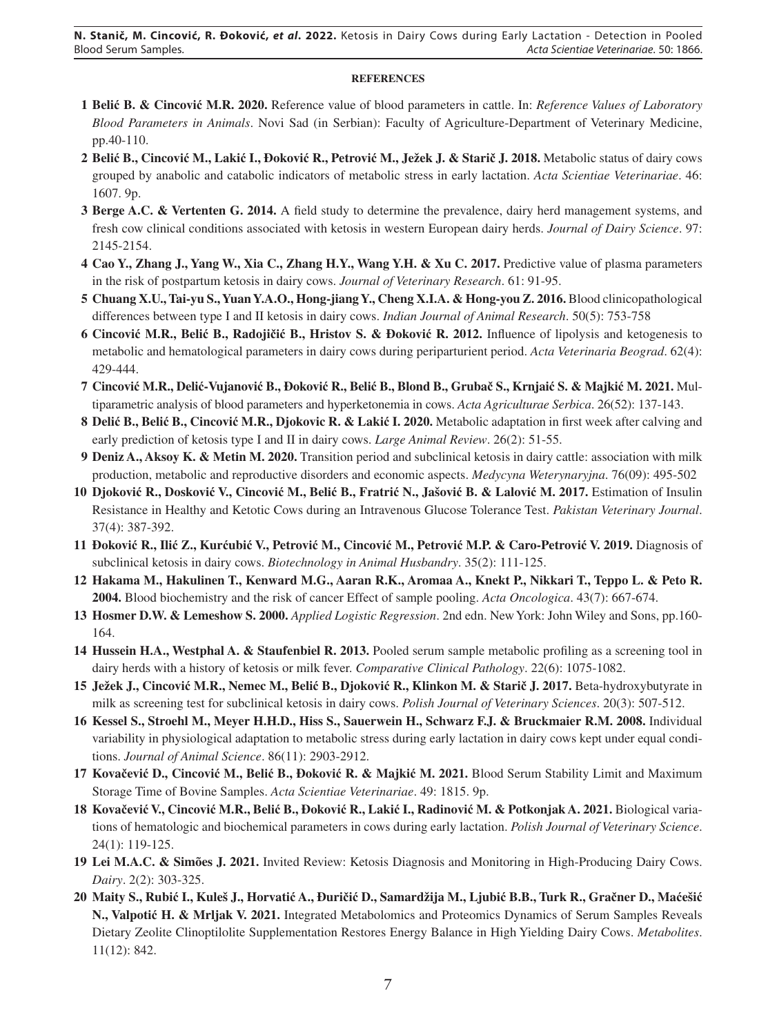# **REFERENCES**

- **1 Belić B. & Cincović M.R. 2020.** Reference value of blood parameters in cattle. In: *Reference Values of Laboratory Blood Parameters in Animals*. Novi Sad (in Serbian): Faculty of Agriculture-Department of Veterinary Medicine, pp.40-110.
- **2 Belić B., Cincović M., Lakić I., Đoković R., Petrović M., Ježek J. & Starič J. 2018.** Metabolic status of dairy cows grouped by anabolic and catabolic indicators of metabolic stress in early lactation. *Acta Scientiae Veterinariae*. 46: 1607. 9p.
- **3 Berge A.C. & Vertenten G. 2014.** A field study to determine the prevalence, dairy herd management systems, and fresh cow clinical conditions associated with ketosis in western European dairy herds. *Journal of Dairy Science*. 97: 2145-2154.
- **4 Cao Y., Zhang J., Yang W., Xia C., Zhang H.Y., Wang Y.H. & Xu C. 2017.** Predictive value of plasma parameters in the risk of postpartum ketosis in dairy cows. *Journal of Veterinary Research*. 61: 91-95.
- **5 Chuang X.U., Tai-yu S., Yuan Y.A.O., Hong-jiang Y., Cheng X.I.A. & Hong-you Z. 2016.** Blood clinicopathological differences between type I and II ketosis in dairy cows. *Indian Journal of Animal Research*. 50(5): 753-758
- **6 Cincović M.R., Belić B., Radojičić B., Hristov S. & Đoković R. 2012.** Influence of lipolysis and ketogenesis to metabolic and hematological parameters in dairy cows during periparturient period. *Acta Veterinaria Beograd*. 62(4): 429-444.
- 7 Cincović M.R., Delić-Vujanović B., Đoković R., Belić B., Blond B., Grubač S., Krnjaić S. & Majkić M. 2021. Multiparametric analysis of blood parameters and hyperketonemia in cows. *Acta Agriculturae Serbica*. 26(52): 137-143.
- **8 Delić B., Belić B., Cincović M.R., Djokovic R. & Lakić I. 2020.** Metabolic adaptation in first week after calving and early prediction of ketosis type I and II in dairy cows. *Large Animal Review*. 26(2): 51-55.
- **9 Deniz A., Aksoy K. & Metin M. 2020.** Transition period and subclinical ketosis in dairy cattle: association with milk production, metabolic and reproductive disorders and economic aspects. *Medycyna Weterynaryjna*. 76(09): 495-502
- 10 Djoković R., Dosković V., Cincović M., Belić B., Fratrić N., Jašović B. & Lalović M. 2017. Estimation of Insulin Resistance in Healthy and Ketotic Cows during an Intravenous Glucose Tolerance Test. *Pakistan Veterinary Journal*. 37(4): 387-392.
- 11 Đoković R., Ilić Z., Kurćubić V., Petrović M., Cincović M., Petrović M.P. & Caro-Petrović V. 2019. Diagnosis of subclinical ketosis in dairy cows. *Biotechnology in Animal Husbandry*. 35(2): 111-125.
- **12 Hakama M., Hakulinen T., Kenward M.G., Aaran R.K., Aromaa A., Knekt P., Nikkari T., Teppo L. & Peto R. 2004.** Blood biochemistry and the risk of cancer Effect of sample pooling. *Acta Oncologica*. 43(7): 667-674.
- **13 Hosmer D.W. & Lemeshow S. 2000.** *Applied Logistic Regression*. 2nd edn. New York: John Wiley and Sons, pp.160- 164.
- **14 Hussein H.A., Westphal A. & Staufenbiel R. 2013.** Pooled serum sample metabolic profiling as a screening tool in dairy herds with a history of ketosis or milk fever. *Comparative Clinical Pathology*. 22(6): 1075-1082.
- **15 Ježek J., Cincović M.R., Nemec M., Belić B., Djoković R., Klinkon M. & Starič J. 2017.** Beta-hydroxybutyrate in milk as screening test for subclinical ketosis in dairy cows. *Polish Journal of Veterinary Sciences*. 20(3): 507-512.
- **16 Kessel S., Stroehl M., Meyer H.H.D., Hiss S., Sauerwein H., Schwarz F.J. & Bruckmaier R.M. 2008.** Individual variability in physiological adaptation to metabolic stress during early lactation in dairy cows kept under equal conditions. *Journal of Animal Science*. 86(11): 2903-2912.
- **17 Kovačević D., Cincović M., Belić B., Đoković R. & Majkić M. 2021.** Blood Serum Stability Limit and Maximum Storage Time of Bovine Samples. *Acta Scientiae Veterinariae*. 49: 1815. 9p.
- 18 Kovačević V., Cincović M.R., Belić B., Đoković R., Lakić I., Radinović M. & Potkonjak A. 2021. Biological variations of hematologic and biochemical parameters in cows during early lactation. *Polish Journal of Veterinary Science*. 24(1): 119-125.
- **19 Lei M.A.C. & Simões J. 2021.** Invited Review: Ketosis Diagnosis and Monitoring in High-Producing Dairy Cows. *Dairy*. 2(2): 303-325.
- 20 Maity S., Rubić I., Kuleš J., Horvatić A., Đuričić D., Samardžija M., Ljubić B.B., Turk R., Gračner D., Maćešić **N., Valpotić H. & Mrljak V. 2021.** Integrated Metabolomics and Proteomics Dynamics of Serum Samples Reveals Dietary Zeolite Clinoptilolite Supplementation Restores Energy Balance in High Yielding Dairy Cows. *Metabolites*. 11(12): 842.